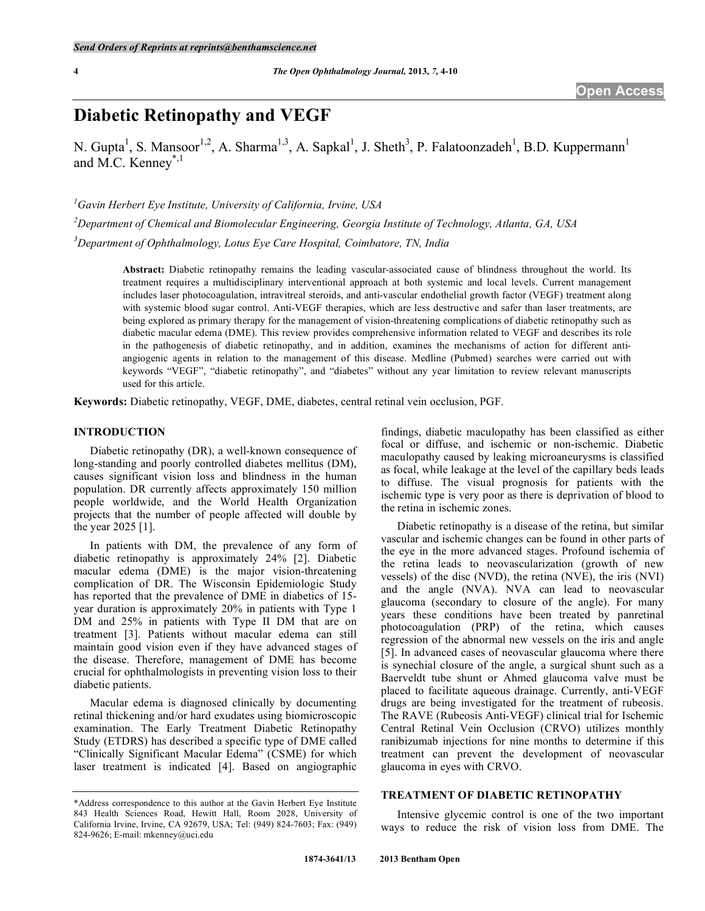# **Diabetic Retinopathy and VEGF**

N. Gupta<sup>1</sup>, S. Mansoor<sup>1,2</sup>, A. Sharma<sup>1,3</sup>, A. Sapkal<sup>1</sup>, J. Sheth<sup>3</sup>, P. Falatoonzadeh<sup>1</sup>, B.D. Kuppermann<sup>1</sup> and M.C. Kenney<sup>\*,1</sup>

*1 Gavin Herbert Eye Institute, University of California, Irvine, USA* 

*2 Department of Chemical and Biomolecular Engineering, Georgia Institute of Technology, Atlanta, GA, USA* 

*3 Department of Ophthalmology, Lotus Eye Care Hospital, Coimbatore, TN, India* 

**Abstract:** Diabetic retinopathy remains the leading vascular-associated cause of blindness throughout the world. Its treatment requires a multidisciplinary interventional approach at both systemic and local levels. Current management includes laser photocoagulation, intravitreal steroids, and anti-vascular endothelial growth factor (VEGF) treatment along with systemic blood sugar control. Anti-VEGF therapies, which are less destructive and safer than laser treatments, are being explored as primary therapy for the management of vision-threatening complications of diabetic retinopathy such as diabetic macular edema (DME). This review provides comprehensive information related to VEGF and describes its role in the pathogenesis of diabetic retinopathy, and in addition, examines the mechanisms of action for different antiangiogenic agents in relation to the management of this disease. Medline (Pubmed) searches were carried out with keywords "VEGF", "diabetic retinopathy", and "diabetes" without any year limitation to review relevant manuscripts used for this article.

**Keywords:** Diabetic retinopathy, VEGF, DME, diabetes, central retinal vein occlusion, PGF.

## **INTRODUCTION**

 Diabetic retinopathy (DR), a well-known consequence of long-standing and poorly controlled diabetes mellitus (DM), causes significant vision loss and blindness in the human population. DR currently affects approximately 150 million people worldwide, and the World Health Organization projects that the number of people affected will double by the year 2025 [1].

 In patients with DM, the prevalence of any form of diabetic retinopathy is approximately 24% [2]. Diabetic macular edema (DME) is the major vision-threatening complication of DR. The Wisconsin Epidemiologic Study has reported that the prevalence of DME in diabetics of 15 year duration is approximately 20% in patients with Type 1 DM and 25% in patients with Type II DM that are on treatment [3]. Patients without macular edema can still maintain good vision even if they have advanced stages of the disease. Therefore, management of DME has become crucial for ophthalmologists in preventing vision loss to their diabetic patients.

 Macular edema is diagnosed clinically by documenting retinal thickening and/or hard exudates using biomicroscopic examination. The Early Treatment Diabetic Retinopathy Study (ETDRS) has described a specific type of DME called "Clinically Significant Macular Edema" (CSME) for which laser treatment is indicated [4]. Based on angiographic

findings, diabetic maculopathy has been classified as either focal or diffuse, and ischemic or non-ischemic. Diabetic maculopathy caused by leaking microaneurysms is classified as focal, while leakage at the level of the capillary beds leads to diffuse. The visual prognosis for patients with the ischemic type is very poor as there is deprivation of blood to the retina in ischemic zones.

 Diabetic retinopathy is a disease of the retina, but similar vascular and ischemic changes can be found in other parts of the eye in the more advanced stages. Profound ischemia of the retina leads to neovascularization (growth of new vessels) of the disc (NVD), the retina (NVE), the iris (NVI) and the angle (NVA). NVA can lead to neovascular glaucoma (secondary to closure of the angle). For many years these conditions have been treated by panretinal photocoagulation (PRP) of the retina, which causes regression of the abnormal new vessels on the iris and angle [5]. In advanced cases of neovascular glaucoma where there is synechial closure of the angle, a surgical shunt such as a Baerveldt tube shunt or Ahmed glaucoma valve must be placed to facilitate aqueous drainage. Currently, anti-VEGF drugs are being investigated for the treatment of rubeosis. The RAVE (Rubeosis Anti-VEGF) clinical trial for Ischemic Central Retinal Vein Occlusion (CRVO) utilizes monthly ranibizumab injections for nine months to determine if this treatment can prevent the development of neovascular glaucoma in eyes with CRVO.

#### **TREATMENT OF DIABETIC RETINOPATHY**

 Intensive glycemic control is one of the two important ways to reduce the risk of vision loss from DME. The

<sup>\*</sup>Address correspondence to this author at the Gavin Herbert Eye Institute 843 Health Sciences Road, Hewitt Hall, Room 2028, University of California Irvine, Irvine, CA 92679, USA; Tel: (949) 824-7603; Fax: (949) 824-9626; E-mail: mkenney@uci.edu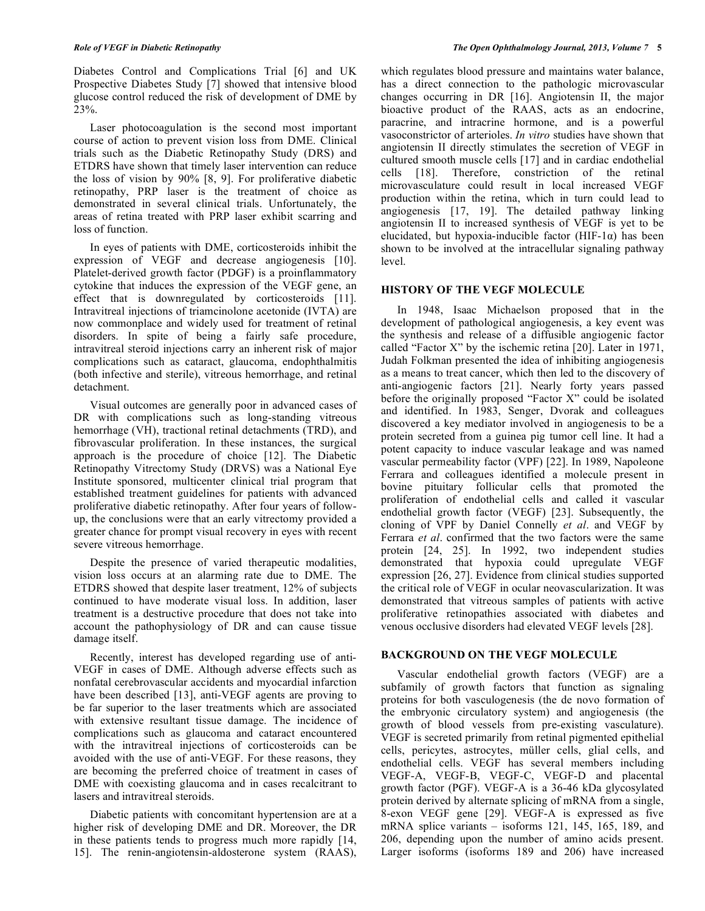Diabetes Control and Complications Trial [6] and UK Prospective Diabetes Study [7] showed that intensive blood glucose control reduced the risk of development of DME by 23%.

 Laser photocoagulation is the second most important course of action to prevent vision loss from DME. Clinical trials such as the Diabetic Retinopathy Study (DRS) and ETDRS have shown that timely laser intervention can reduce the loss of vision by 90% [8, 9]. For proliferative diabetic retinopathy, PRP laser is the treatment of choice as demonstrated in several clinical trials. Unfortunately, the areas of retina treated with PRP laser exhibit scarring and loss of function.

 In eyes of patients with DME, corticosteroids inhibit the expression of VEGF and decrease angiogenesis [10]. Platelet-derived growth factor (PDGF) is a proinflammatory cytokine that induces the expression of the VEGF gene, an effect that is downregulated by corticosteroids [11]. Intravitreal injections of triamcinolone acetonide (IVTA) are now commonplace and widely used for treatment of retinal disorders. In spite of being a fairly safe procedure, intravitreal steroid injections carry an inherent risk of major complications such as cataract, glaucoma, endophthalmitis (both infective and sterile), vitreous hemorrhage, and retinal detachment.

 Visual outcomes are generally poor in advanced cases of DR with complications such as long-standing vitreous hemorrhage (VH), tractional retinal detachments (TRD), and fibrovascular proliferation. In these instances, the surgical approach is the procedure of choice [12]. The Diabetic Retinopathy Vitrectomy Study (DRVS) was a National Eye Institute sponsored, multicenter clinical trial program that established treatment guidelines for patients with advanced proliferative diabetic retinopathy. After four years of followup, the conclusions were that an early vitrectomy provided a greater chance for prompt visual recovery in eyes with recent severe vitreous hemorrhage.

 Despite the presence of varied therapeutic modalities, vision loss occurs at an alarming rate due to DME. The ETDRS showed that despite laser treatment, 12% of subjects continued to have moderate visual loss. In addition, laser treatment is a destructive procedure that does not take into account the pathophysiology of DR and can cause tissue damage itself.

 Recently, interest has developed regarding use of anti-VEGF in cases of DME. Although adverse effects such as nonfatal cerebrovascular accidents and myocardial infarction have been described [13], anti-VEGF agents are proving to be far superior to the laser treatments which are associated with extensive resultant tissue damage. The incidence of complications such as glaucoma and cataract encountered with the intravitreal injections of corticosteroids can be avoided with the use of anti-VEGF. For these reasons, they are becoming the preferred choice of treatment in cases of DME with coexisting glaucoma and in cases recalcitrant to lasers and intravitreal steroids.

 Diabetic patients with concomitant hypertension are at a higher risk of developing DME and DR. Moreover, the DR in these patients tends to progress much more rapidly [14, 15]. The renin-angiotensin-aldosterone system (RAAS),

which regulates blood pressure and maintains water balance, has a direct connection to the pathologic microvascular changes occurring in DR [16]. Angiotensin II, the major bioactive product of the RAAS, acts as an endocrine, paracrine, and intracrine hormone, and is a powerful vasoconstrictor of arterioles. *In vitro* studies have shown that angiotensin II directly stimulates the secretion of VEGF in cultured smooth muscle cells [17] and in cardiac endothelial cells [18]. Therefore, constriction of the retinal microvasculature could result in local increased VEGF production within the retina, which in turn could lead to angiogenesis [17, 19]. The detailed pathway linking angiotensin II to increased synthesis of VEGF is yet to be elucidated, but hypoxia-inducible factor (HIF-1 $\alpha$ ) has been shown to be involved at the intracellular signaling pathway level.

### **HISTORY OF THE VEGF MOLECULE**

 In 1948, Isaac Michaelson proposed that in the development of pathological angiogenesis, a key event was the synthesis and release of a diffusible angiogenic factor called "Factor X" by the ischemic retina [20]. Later in 1971, Judah Folkman presented the idea of inhibiting angiogenesis as a means to treat cancer, which then led to the discovery of anti-angiogenic factors [21]. Nearly forty years passed before the originally proposed "Factor X" could be isolated and identified. In 1983, Senger, Dvorak and colleagues discovered a key mediator involved in angiogenesis to be a protein secreted from a guinea pig tumor cell line. It had a potent capacity to induce vascular leakage and was named vascular permeability factor (VPF) [22]. In 1989, Napoleone Ferrara and colleagues identified a molecule present in bovine pituitary follicular cells that promoted the proliferation of endothelial cells and called it vascular endothelial growth factor (VEGF) [23]. Subsequently, the cloning of VPF by Daniel Connelly *et al*. and VEGF by Ferrara *et al*. confirmed that the two factors were the same protein [24, 25]. In 1992, two independent studies demonstrated that hypoxia could upregulate VEGF expression [26, 27]. Evidence from clinical studies supported the critical role of VEGF in ocular neovascularization. It was demonstrated that vitreous samples of patients with active proliferative retinopathies associated with diabetes and venous occlusive disorders had elevated VEGF levels [28].

#### **BACKGROUND ON THE VEGF MOLECULE**

 Vascular endothelial growth factors (VEGF) are a subfamily of growth factors that function as signaling proteins for both vasculogenesis (the de novo formation of the embryonic circulatory system) and angiogenesis (the growth of blood vessels from pre-existing vasculature). VEGF is secreted primarily from retinal pigmented epithelial cells, pericytes, astrocytes, müller cells, glial cells, and endothelial cells. VEGF has several members including VEGF-A, VEGF-B, VEGF-C, VEGF-D and placental growth factor (PGF). VEGF-A is a 36-46 kDa glycosylated protein derived by alternate splicing of mRNA from a single, 8-exon VEGF gene [29]. VEGF-A is expressed as five mRNA splice variants – isoforms 121, 145, 165, 189, and 206, depending upon the number of amino acids present. Larger isoforms (isoforms 189 and 206) have increased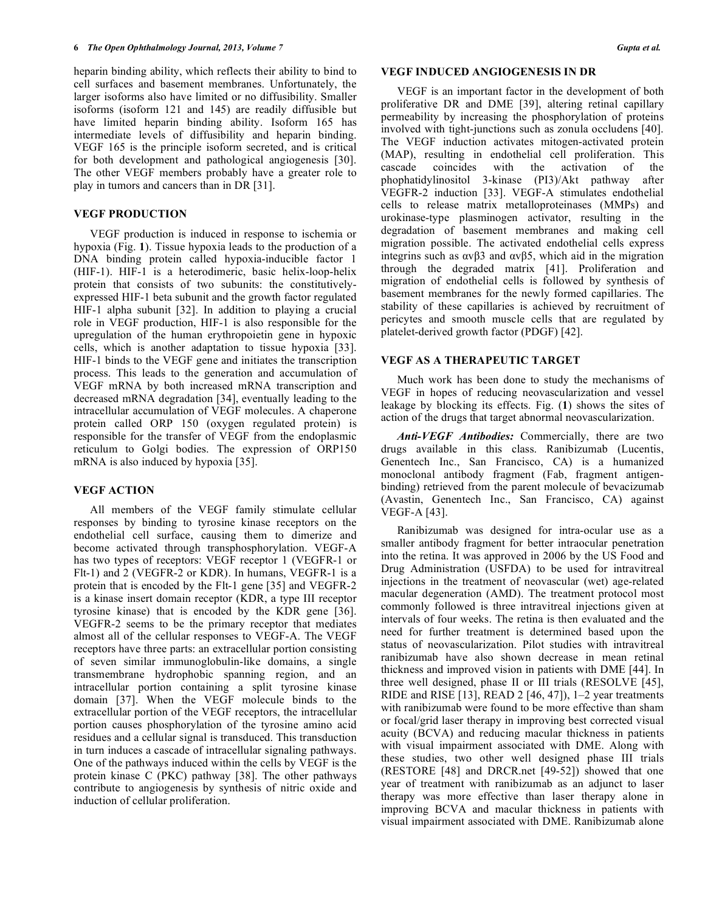heparin binding ability, which reflects their ability to bind to cell surfaces and basement membranes. Unfortunately, the larger isoforms also have limited or no diffusibility. Smaller isoforms (isoform 121 and 145) are readily diffusible but have limited heparin binding ability. Isoform 165 has intermediate levels of diffusibility and heparin binding. VEGF 165 is the principle isoform secreted, and is critical for both development and pathological angiogenesis [30]. The other VEGF members probably have a greater role to play in tumors and cancers than in DR [31].

## **VEGF PRODUCTION**

 VEGF production is induced in response to ischemia or hypoxia (Fig. 1). Tissue hypoxia leads to the production of a DNA binding protein called hypoxia-inducible factor 1 (HIF-1). HIF-1 is a heterodimeric, basic helix-loop-helix protein that consists of two subunits: the constitutivelyexpressed HIF-1 beta subunit and the growth factor regulated HIF-1 alpha subunit [32]. In addition to playing a crucial role in VEGF production, HIF-1 is also responsible for the upregulation of the human erythropoietin gene in hypoxic cells, which is another adaptation to tissue hypoxia [33]. HIF-1 binds to the VEGF gene and initiates the transcription process. This leads to the generation and accumulation of VEGF mRNA by both increased mRNA transcription and decreased mRNA degradation [34], eventually leading to the intracellular accumulation of VEGF molecules. A chaperone protein called ORP 150 (oxygen regulated protein) is responsible for the transfer of VEGF from the endoplasmic reticulum to Golgi bodies. The expression of ORP150 mRNA is also induced by hypoxia [35].

#### **VEGF ACTION**

 All members of the VEGF family stimulate cellular responses by binding to tyrosine kinase receptors on the endothelial cell surface, causing them to dimerize and become activated through transphosphorylation. VEGF-A has two types of receptors: VEGF receptor 1 (VEGFR-1 or Flt-1) and 2 (VEGFR-2 or KDR). In humans, VEGFR-1 is a protein that is encoded by the Flt-1 gene [35] and VEGFR-2 is a kinase insert domain receptor (KDR, a type III receptor tyrosine kinase) that is encoded by the KDR gene [36]. VEGFR-2 seems to be the primary receptor that mediates almost all of the cellular responses to VEGF-A. The VEGF receptors have three parts: an extracellular portion consisting of seven similar immunoglobulin-like domains, a single transmembrane hydrophobic spanning region, and an intracellular portion containing a split tyrosine kinase domain [37]. When the VEGF molecule binds to the extracellular portion of the VEGF receptors, the intracellular portion causes phosphorylation of the tyrosine amino acid residues and a cellular signal is transduced. This transduction in turn induces a cascade of intracellular signaling pathways. One of the pathways induced within the cells by VEGF is the protein kinase C (PKC) pathway [38]. The other pathways contribute to angiogenesis by synthesis of nitric oxide and induction of cellular proliferation.

#### **VEGF INDUCED ANGIOGENESIS IN DR**

 VEGF is an important factor in the development of both proliferative DR and DME [39], altering retinal capillary permeability by increasing the phosphorylation of proteins involved with tight-junctions such as zonula occludens [40]. The VEGF induction activates mitogen-activated protein (MAP), resulting in endothelial cell proliferation. This cascade coincides with the activation of the phophatidylinositol 3-kinase (PI3)/Akt pathway after VEGFR-2 induction [33]. VEGF-A stimulates endothelial cells to release matrix metalloproteinases (MMPs) and urokinase-type plasminogen activator, resulting in the degradation of basement membranes and making cell migration possible. The activated endothelial cells express integrins such as  $\alpha v\beta 3$  and  $\alpha v\beta 5$ , which aid in the migration through the degraded matrix [41]. Proliferation and migration of endothelial cells is followed by synthesis of basement membranes for the newly formed capillaries. The stability of these capillaries is achieved by recruitment of pericytes and smooth muscle cells that are regulated by platelet-derived growth factor (PDGF) [42].

## **VEGF AS A THERAPEUTIC TARGET**

 Much work has been done to study the mechanisms of VEGF in hopes of reducing neovascularization and vessel leakage by blocking its effects. Fig. (**1**) shows the sites of action of the drugs that target abnormal neovascularization.

 *Anti-VEGF Antibodies:* Commercially, there are two drugs available in this class. Ranibizumab (Lucentis, Genentech Inc., San Francisco, CA) is a humanized monoclonal antibody fragment (Fab, fragment antigenbinding) retrieved from the parent molecule of bevacizumab (Avastin, Genentech Inc., San Francisco, CA) against VEGF-A [43].

 Ranibizumab was designed for intra-ocular use as a smaller antibody fragment for better intraocular penetration into the retina. It was approved in 2006 by the US Food and Drug Administration (USFDA) to be used for intravitreal injections in the treatment of neovascular (wet) age-related macular degeneration (AMD). The treatment protocol most commonly followed is three intravitreal injections given at intervals of four weeks. The retina is then evaluated and the need for further treatment is determined based upon the status of neovascularization. Pilot studies with intravitreal ranibizumab have also shown decrease in mean retinal thickness and improved vision in patients with DME [44]. In three well designed, phase II or III trials (RESOLVE [45], RIDE and RISE [13], READ 2 [46, 47]),  $1-2$  year treatments with ranibizumab were found to be more effective than sham or focal/grid laser therapy in improving best corrected visual acuity (BCVA) and reducing macular thickness in patients with visual impairment associated with DME. Along with these studies, two other well designed phase III trials (RESTORE [48] and DRCR.net [49-52]) showed that one year of treatment with ranibizumab as an adjunct to laser therapy was more effective than laser therapy alone in improving BCVA and macular thickness in patients with visual impairment associated with DME. Ranibizumab alone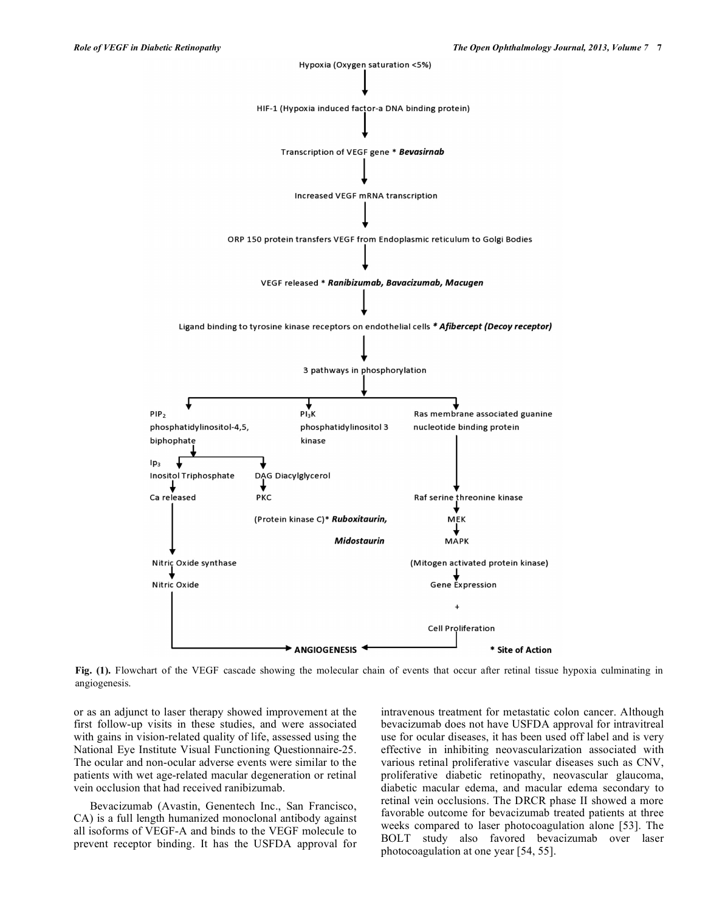

**Fig. (1).** Flowchart of the VEGF cascade showing the molecular chain of events that occur after retinal tissue hypoxia culminating in angiogenesis.

or as an adjunct to laser therapy showed improvement at the first follow-up visits in these studies, and were associated with gains in vision-related quality of life, assessed using the National Eye Institute Visual Functioning Questionnaire-25. The ocular and non-ocular adverse events were similar to the patients with wet age-related macular degeneration or retinal vein occlusion that had received ranibizumab.

 Bevacizumab (Avastin, Genentech Inc., San Francisco, CA) is a full length humanized monoclonal antibody against all isoforms of VEGF-A and binds to the VEGF molecule to prevent receptor binding. It has the USFDA approval for

intravenous treatment for metastatic colon cancer. Although bevacizumab does not have USFDA approval for intravitreal use for ocular diseases, it has been used off label and is very effective in inhibiting neovascularization associated with various retinal proliferative vascular diseases such as CNV, proliferative diabetic retinopathy, neovascular glaucoma, diabetic macular edema, and macular edema secondary to retinal vein occlusions. The DRCR phase II showed a more favorable outcome for bevacizumab treated patients at three weeks compared to laser photocoagulation alone [53]. The BOLT study also favored bevacizumab over laser photocoagulation at one year [54, 55].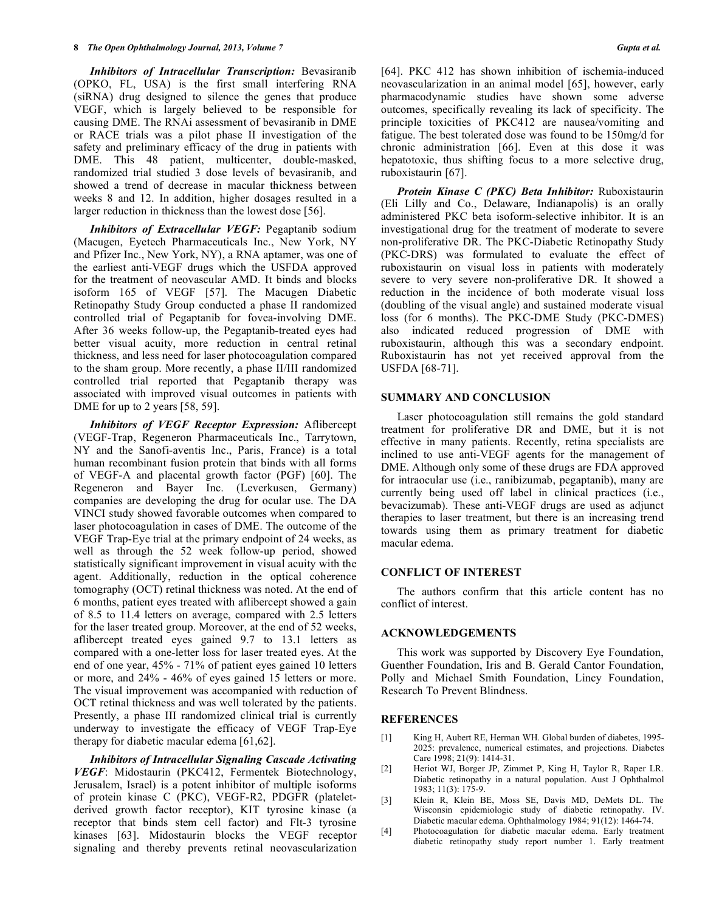*Inhibitors of Intracellular Transcription:* Bevasiranib (OPKO, FL, USA) is the first small interfering RNA (siRNA) drug designed to silence the genes that produce VEGF, which is largely believed to be responsible for causing DME. The RNAi assessment of bevasiranib in DME or RACE trials was a pilot phase II investigation of the safety and preliminary efficacy of the drug in patients with DME. This 48 patient, multicenter, double-masked, randomized trial studied 3 dose levels of bevasiranib, and showed a trend of decrease in macular thickness between weeks 8 and 12. In addition, higher dosages resulted in a larger reduction in thickness than the lowest dose [56].

 *Inhibitors of Extracellular VEGF:* Pegaptanib sodium (Macugen, Eyetech Pharmaceuticals Inc., New York, NY and Pfizer Inc., New York, NY), a RNA aptamer, was one of the earliest anti-VEGF drugs which the USFDA approved for the treatment of neovascular AMD. It binds and blocks isoform 165 of VEGF [57]. The Macugen Diabetic Retinopathy Study Group conducted a phase II randomized controlled trial of Pegaptanib for fovea-involving DME. After 36 weeks follow-up, the Pegaptanib-treated eyes had better visual acuity, more reduction in central retinal thickness, and less need for laser photocoagulation compared to the sham group. More recently, a phase II/III randomized controlled trial reported that Pegaptanib therapy was associated with improved visual outcomes in patients with DME for up to 2 years [58, 59].

 *Inhibitors of VEGF Receptor Expression:* Aflibercept (VEGF-Trap, Regeneron Pharmaceuticals Inc., Tarrytown, NY and the Sanofi-aventis Inc., Paris, France) is a total human recombinant fusion protein that binds with all forms of VEGF-A and placental growth factor (PGF) [60]. The Regeneron and Bayer Inc. (Leverkusen, Germany) companies are developing the drug for ocular use. The DA VINCI study showed favorable outcomes when compared to laser photocoagulation in cases of DME. The outcome of the VEGF Trap-Eye trial at the primary endpoint of 24 weeks, as well as through the 52 week follow-up period, showed statistically significant improvement in visual acuity with the agent. Additionally, reduction in the optical coherence tomography (OCT) retinal thickness was noted. At the end of 6 months, patient eyes treated with aflibercept showed a gain of 8.5 to 11.4 letters on average, compared with 2.5 letters for the laser treated group. Moreover, at the end of 52 weeks, aflibercept treated eyes gained 9.7 to 13.1 letters as compared with a one-letter loss for laser treated eyes. At the end of one year, 45% - 71% of patient eyes gained 10 letters or more, and 24% - 46% of eyes gained 15 letters or more. The visual improvement was accompanied with reduction of OCT retinal thickness and was well tolerated by the patients. Presently, a phase III randomized clinical trial is currently underway to investigate the efficacy of VEGF Trap-Eye therapy for diabetic macular edema [61,62].

 *Inhibitors of Intracellular Signaling Cascade Activating VEGF*: Midostaurin (PKC412, Fermentek Biotechnology, Jerusalem, Israel) is a potent inhibitor of multiple isoforms of protein kinase C (PKC), VEGF-R2, PDGFR (plateletderived growth factor receptor), KIT tyrosine kinase (a receptor that binds stem cell factor) and Flt-3 tyrosine kinases [63]. Midostaurin blocks the VEGF receptor signaling and thereby prevents retinal neovascularization

[64]. PKC 412 has shown inhibition of ischemia-induced neovascularization in an animal model [65], however, early pharmacodynamic studies have shown some adverse outcomes, specifically revealing its lack of specificity. The principle toxicities of PKC412 are nausea/vomiting and fatigue. The best tolerated dose was found to be 150mg/d for chronic administration [66]. Even at this dose it was hepatotoxic, thus shifting focus to a more selective drug, ruboxistaurin [67].

 *Protein Kinase C (PKC) Beta Inhibitor:* Ruboxistaurin (Eli Lilly and Co., Delaware, Indianapolis) is an orally administered PKC beta isoform-selective inhibitor. It is an investigational drug for the treatment of moderate to severe non-proliferative DR. The PKC-Diabetic Retinopathy Study (PKC-DRS) was formulated to evaluate the effect of ruboxistaurin on visual loss in patients with moderately severe to very severe non-proliferative DR. It showed a reduction in the incidence of both moderate visual loss (doubling of the visual angle) and sustained moderate visual loss (for 6 months). The PKC-DME Study (PKC-DMES) also indicated reduced progression of DME with ruboxistaurin, although this was a secondary endpoint. Ruboxistaurin has not yet received approval from the USFDA [68-71].

#### **SUMMARY AND CONCLUSION**

 Laser photocoagulation still remains the gold standard treatment for proliferative DR and DME, but it is not effective in many patients. Recently, retina specialists are inclined to use anti-VEGF agents for the management of DME. Although only some of these drugs are FDA approved for intraocular use (i.e., ranibizumab, pegaptanib), many are currently being used off label in clinical practices (i.e., bevacizumab). These anti-VEGF drugs are used as adjunct therapies to laser treatment, but there is an increasing trend towards using them as primary treatment for diabetic macular edema.

## **CONFLICT OF INTEREST**

 The authors confirm that this article content has no conflict of interest.

## **ACKNOWLEDGEMENTS**

 This work was supported by Discovery Eye Foundation, Guenther Foundation, Iris and B. Gerald Cantor Foundation, Polly and Michael Smith Foundation, Lincy Foundation, Research To Prevent Blindness.

#### **REFERENCES**

- [1] King H, Aubert RE, Herman WH. Global burden of diabetes, 1995-2025: prevalence, numerical estimates, and projections. Diabetes Care 1998; 21(9): 1414-31.
- [2] Heriot WJ, Borger JP, Zimmet P, King H, Taylor R, Raper LR. Diabetic retinopathy in a natural population. Aust J Ophthalmol 1983; 11(3): 175-9.
- [3] Klein R, Klein BE, Moss SE, Davis MD, DeMets DL. The Wisconsin epidemiologic study of diabetic retinopathy. IV. Diabetic macular edema. Ophthalmology 1984; 91(12): 1464-74.
- [4] Photocoagulation for diabetic macular edema. Early treatment diabetic retinopathy study report number 1. Early treatment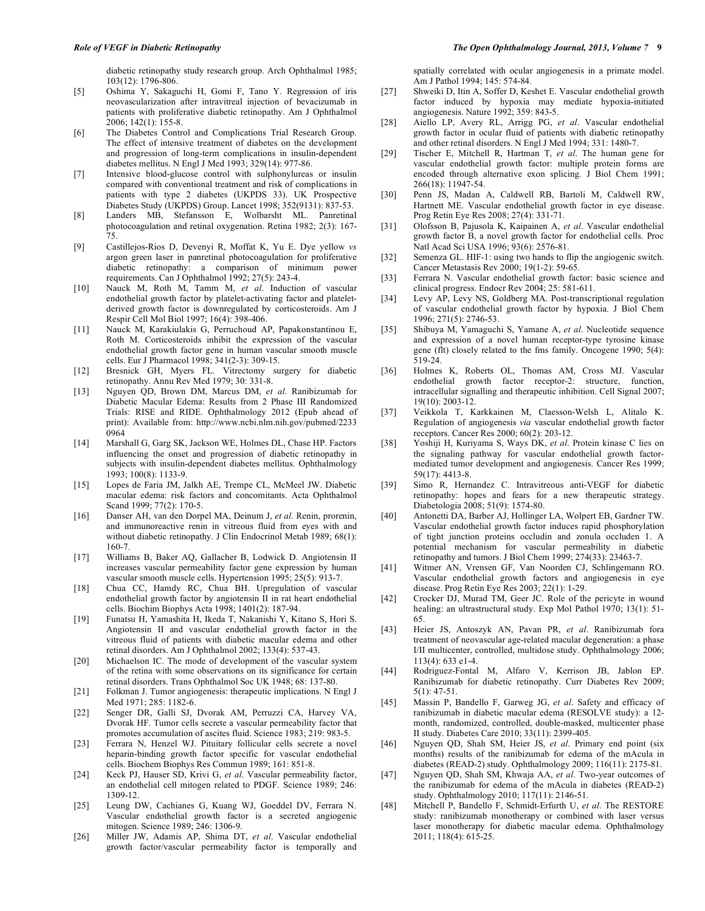diabetic retinopathy study research group. Arch Ophthalmol 1985; 103(12): 1796-806.

- [5] Oshima Y, Sakaguchi H, Gomi F, Tano Y. Regression of iris neovascularization after intravitreal injection of bevacizumab in patients with proliferative diabetic retinopathy. Am J Ophthalmol 2006; 142(1): 155-8.
- [6] The Diabetes Control and Complications Trial Research Group. The effect of intensive treatment of diabetes on the development and progression of long-term complications in insulin-dependent diabetes mellitus. N Engl J Med 1993; 329(14): 977-86.
- [7] Intensive blood-glucose control with sulphonylureas or insulin compared with conventional treatment and risk of complications in patients with type 2 diabetes (UKPDS 33). UK Prospective Diabetes Study (UKPDS) Group. Lancet 1998; 352(9131): 837-53.
- [8] Landers MB, Stefansson E, Wolbarsht ML. Panretinal photocoagulation and retinal oxygenation. Retina 1982; 2(3): 167- 75.
- [9] Castillejos-Rios D, Devenyi R, Moffat K, Yu E. Dye yellow *vs* argon green laser in panretinal photocoagulation for proliferative diabetic retinopathy: a comparison of minimum power requirements. Can J Ophthalmol 1992; 27(5): 243-4.
- [10] Nauck M, Roth M, Tamm M, *et al*. Induction of vascular endothelial growth factor by platelet-activating factor and plateletderived growth factor is downregulated by corticosteroids. Am J Respir Cell Mol Biol 1997; 16(4): 398-406.
- [11] Nauck M, Karakiulakis G, Perruchoud AP, Papakonstantinou E, Roth M. Corticosteroids inhibit the expression of the vascular endothelial growth factor gene in human vascular smooth muscle cells. Eur J Pharmacol 1998; 341(2-3): 309-15.
- [12] Bresnick GH, Myers FL. Vitrectomy surgery for diabetic retinopathy. Annu Rev Med 1979; 30: 331-8.
- [13] Nguyen QD, Brown DM, Marcus DM, *et al*. Ranibizumab for Diabetic Macular Edema: Results from 2 Phase III Randomized Trials: RISE and RIDE. Ophthalmology 2012 (Epub ahead of print): Available from: http://www.ncbi.nlm.nih.gov/pubmed/2233 0964
- [14] Marshall G, Garg SK, Jackson WE, Holmes DL, Chase HP. Factors influencing the onset and progression of diabetic retinopathy in subjects with insulin-dependent diabetes mellitus. Ophthalmology 1993; 100(8): 1133-9.
- [15] Lopes de Faria JM, Jalkh AE, Trempe CL, McMeel JW. Diabetic macular edema: risk factors and concomitants. Acta Ophthalmol Scand 1999; 77(2): 170-5.
- [16] Danser AH, van den Dorpel MA, Deinum J, *et al*. Renin, prorenin, and immunoreactive renin in vitreous fluid from eyes with and without diabetic retinopathy. J Clin Endocrinol Metab 1989; 68(1): 160-7.
- [17] Williams B, Baker AQ, Gallacher B, Lodwick D. Angiotensin II increases vascular permeability factor gene expression by human vascular smooth muscle cells. Hypertension 1995; 25(5): 913-7.
- [18] Chua CC, Hamdy RC, Chua BH. Upregulation of vascular endothelial growth factor by angiotensin II in rat heart endothelial cells. Biochim Biophys Acta 1998; 1401(2): 187-94.
- [19] Funatsu H, Yamashita H, Ikeda T, Nakanishi Y, Kitano S, Hori S. Angiotensin II and vascular endothelial growth factor in the vitreous fluid of patients with diabetic macular edema and other retinal disorders. Am J Ophthalmol 2002; 133(4): 537-43.
- [20] Michaelson IC. The mode of development of the vascular system of the retina with some observations on its significance for certain retinal disorders. Trans Ophthalmol Soc UK 1948; 68: 137-80.
- [21] Folkman J. Tumor angiogenesis: therapeutic implications. N Engl J Med 1971; 285: 1182-6.
- [22] Senger DR, Galli SJ, Dvorak AM, Perruzzi CA, Harvey VA, Dvorak HF. Tumor cells secrete a vascular permeability factor that promotes accumulation of ascites fluid. Science 1983; 219: 983-5.
- [23] Ferrara N, Henzel WJ. Pituitary follicular cells secrete a novel heparin-binding growth factor specific for vascular endothelial cells. Biochem Biophys Res Commun 1989; 161: 851-8.
- [24] Keck PJ, Hauser SD, Krivi G, *et al*. Vascular permeability factor, an endothelial cell mitogen related to PDGF. Science 1989; 246: 1309-12.
- [25] Leung DW, Cachianes G, Kuang WJ, Goeddel DV, Ferrara N. Vascular endothelial growth factor is a secreted angiogenic mitogen. Science 1989; 246: 1306-9.
- [26] Miller JW, Adamis AP, Shima DT, *et al*. Vascular endothelial growth factor/vascular permeability factor is temporally and

spatially correlated with ocular angiogenesis in a primate model. Am J Pathol 1994; 145: 574-84.

- [27] Shweiki D, Itin A, Soffer D, Keshet E. Vascular endothelial growth factor induced by hypoxia may mediate hypoxia-initiated angiogenesis. Nature 1992; 359: 843-5.
- [28] Aiello LP, Avery RL, Arrigg PG, *et al*. Vascular endothelial growth factor in ocular fluid of patients with diabetic retinopathy and other retinal disorders. N Engl J Med 1994; 331: 1480-7.
- [29] Tischer E, Mitchell R, Hartman T, *et al*. The human gene for vascular endothelial growth factor: multiple protein forms are encoded through alternative exon splicing. J Biol Chem 1991; 266(18): 11947-54.
- [30] Penn JS, Madan A, Caldwell RB, Bartoli M, Caldwell RW, Hartnett ME. Vascular endothelial growth factor in eye disease. Prog Retin Eye Res 2008; 27(4): 331-71.
- [31] Olofsson B, Pajusola K, Kaipainen A, *et al*. Vascular endothelial growth factor B, a novel growth factor for endothelial cells. Proc Natl Acad Sci USA 1996; 93(6): 2576-81.
- [32] Semenza GL. HIF-1: using two hands to flip the angiogenic switch. Cancer Metastasis Rev 2000; 19(1-2): 59-65.
- [33] Ferrara N. Vascular endothelial growth factor: basic science and clinical progress. Endocr Rev 2004; 25: 581-611.
- [34] Levy AP, Levy NS, Goldberg MA. Post-transcriptional regulation of vascular endothelial growth factor by hypoxia. J Biol Chem 1996; 271(5): 2746-53.
- [35] Shibuya M, Yamaguchi S, Yamane A, *et al*. Nucleotide sequence and expression of a novel human receptor-type tyrosine kinase gene (flt) closely related to the fms family. Oncogene 1990; 5(4): 519-24.
- [36] Holmes K, Roberts OL, Thomas AM, Cross MJ. Vascular endothelial growth factor receptor-2: structure, function, intracellular signalling and therapeutic inhibition. Cell Signal 2007; 19(10): 2003-12.
- [37] Veikkola T, Karkkainen M, Claesson-Welsh L, Alitalo K. Regulation of angiogenesis *via* vascular endothelial growth factor receptors. Cancer Res 2000; 60(2): 203-12.
- [38] Yoshiji H, Kuriyama S, Ways DK, *et al*. Protein kinase C lies on the signaling pathway for vascular endothelial growth factormediated tumor development and angiogenesis. Cancer Res 1999; 59(17): 4413-8.
- [39] Simo R, Hernandez C. Intravitreous anti-VEGF for diabetic retinopathy: hopes and fears for a new therapeutic strategy. Diabetologia 2008; 51(9): 1574-80.
- [40] Antonetti DA, Barber AJ, Hollinger LA, Wolpert EB, Gardner TW. Vascular endothelial growth factor induces rapid phosphorylation of tight junction proteins occludin and zonula occluden 1. A potential mechanism for vascular permeability in diabetic retinopathy and tumors. J Biol Chem 1999; 274(33): 23463-7.
- [41] Witmer AN, Vrensen GF, Van Noorden CJ, Schlingemann RO. Vascular endothelial growth factors and angiogenesis in eye disease. Prog Retin Eye Res 2003; 22(1): 1-29.
- [42] Crocker DJ, Murad TM, Geer JC. Role of the pericyte in wound healing: an ultrastructural study. Exp Mol Pathol 1970; 13(1): 51- 65.
- [43] Heier JS, Antoszyk AN, Pavan PR, *et al*. Ranibizumab fora treatment of neovascular age-related macular degeneration: a phase I/II multicenter, controlled, multidose study. Ophthalmology 2006; 113(4): 633 e1-4.
- [44] Rodriguez-Fontal M, Alfaro V, Kerrison JB, Jablon EP. Ranibizumab for diabetic retinopathy. Curr Diabetes Rev 2009; 5(1): 47-51.
- [45] Massin P, Bandello F, Garweg JG, *et al*. Safety and efficacy of ranibizumab in diabetic macular edema (RESOLVE study): a 12 month, randomized, controlled, double-masked, multicenter phase II study. Diabetes Care 2010; 33(11): 2399-405.
- [46] Nguyen QD, Shah SM, Heier JS, *et al*. Primary end point (six months) results of the ranibizumab for edema of the mAcula in diabetes (READ-2) study. Ophthalmology 2009; 116(11): 2175-81.
- [47] Nguyen QD, Shah SM, Khwaja AA, *et al*. Two-year outcomes of the ranibizumab for edema of the mAcula in diabetes (READ-2) study. Ophthalmology 2010; 117(11): 2146-51.
- [48] Mitchell P, Bandello F, Schmidt-Erfurth U, *et al*. The RESTORE study: ranibizumab monotherapy or combined with laser versus laser monotherapy for diabetic macular edema. Ophthalmology 2011; 118(4): 615-25.